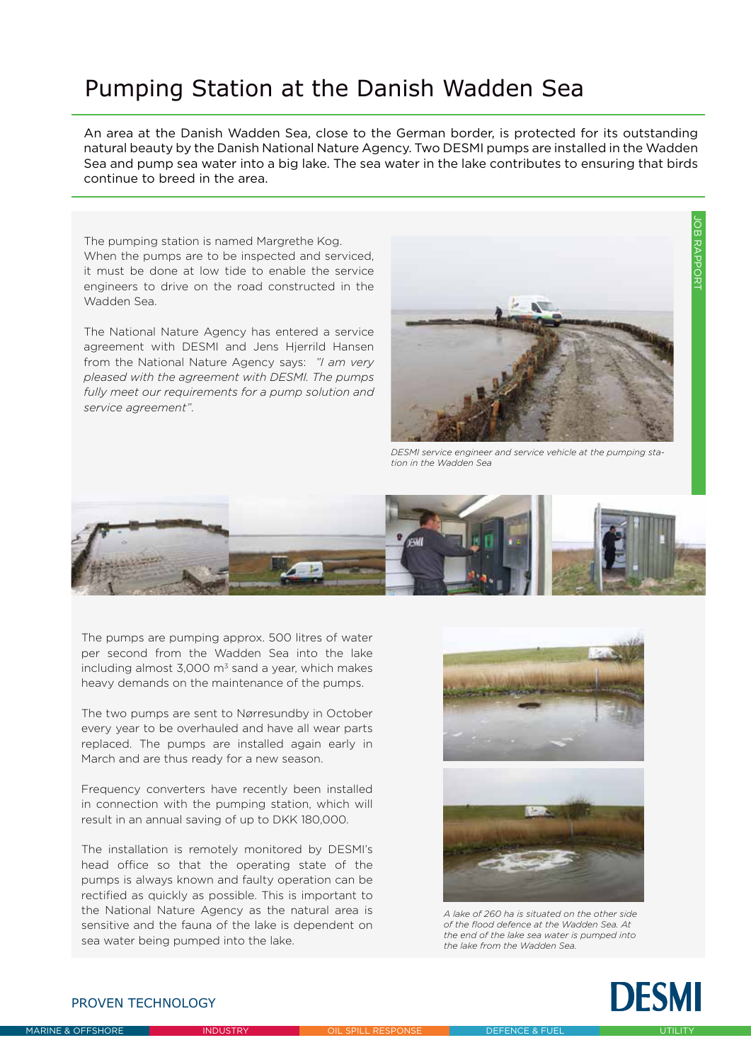## Pumping Station at the Danish Wadden Sea

An area at the Danish Wadden Sea, close to the German border, is protected for its outstanding natural beauty by the Danish National Nature Agency. Two DESMI pumps are installed in the Wadden Sea and pump sea water into a big lake. The sea water in the lake contributes to ensuring that birds continue to breed in the area.

The pumping station is named Margrethe Kog. When the pumps are to be inspected and serviced, it must be done at low tide to enable the service engineers to drive on the road constructed in the Wadden Sea.

The National Nature Agency has entered a service agreement with DESMI and Jens Hjerrild Hansen from the National Nature Agency says: *"I am very pleased with the agreement with DESMI. The pumps fully meet our requirements for a pump solution and service agreement"*.



*DESMI service engineer and service vehicle at the pumping station in the Wadden Sea*



The pumps are pumping approx. 500 litres of water per second from the Wadden Sea into the lake including almost  $3,000 \text{ m}^3$  sand a year, which makes heavy demands on the maintenance of the pumps.

The two pumps are sent to Nørresundby in October every year to be overhauled and have all wear parts replaced. The pumps are installed again early in March and are thus ready for a new season.

Frequency converters have recently been installed in connection with the pumping station, which will result in an annual saving of up to DKK 180,000.

The installation is remotely monitored by DESMI's head office so that the operating state of the pumps is always known and faulty operation can be rectified as quickly as possible. This is important to the National Nature Agency as the natural area is sensitive and the fauna of the lake is dependent on sea water being pumped into the lake.





*A lake of 260 ha is situated on the other side of the flood defence at the Wadden Sea. At the end of the lake sea water is pumped into the lake from the Wadden Sea.*



## PROVEN TECHNOLOGY

JOB RAPPORT

OB RAPPORT